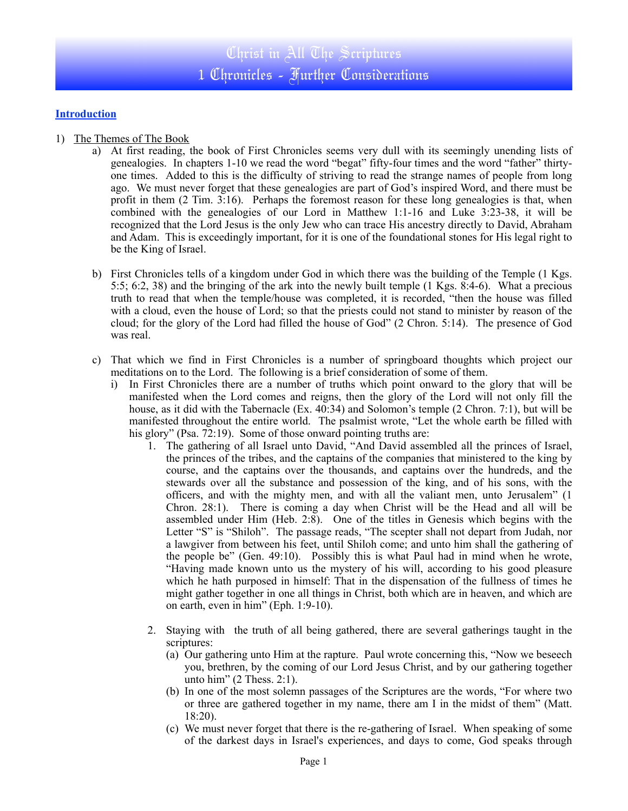## **Introduction**

- 1) The Themes of The Book
	- a) At first reading, the book of First Chronicles seems very dull with its seemingly unending lists of genealogies. In chapters 1-10 we read the word "begat" fifty-four times and the word "father" thirtyone times. Added to this is the difficulty of striving to read the strange names of people from long ago. We must never forget that these genealogies are part of God's inspired Word, and there must be profit in them (2 Tim. 3:16). Perhaps the foremost reason for these long genealogies is that, when combined with the genealogies of our Lord in Matthew 1:1-16 and Luke 3:23-38, it will be recognized that the Lord Jesus is the only Jew who can trace His ancestry directly to David, Abraham and Adam. This is exceedingly important, for it is one of the foundational stones for His legal right to be the King of Israel.
	- b) First Chronicles tells of a kingdom under God in which there was the building of the Temple (1 Kgs. 5:5; 6:2, 38) and the bringing of the ark into the newly built temple (1 Kgs. 8:4-6). What a precious truth to read that when the temple/house was completed, it is recorded, "then the house was filled with a cloud, even the house of Lord; so that the priests could not stand to minister by reason of the cloud; for the glory of the Lord had filled the house of God" (2 Chron. 5:14). The presence of God was real.
	- c) That which we find in First Chronicles is a number of springboard thoughts which project our meditations on to the Lord. The following is a brief consideration of some of them.
		- i) In First Chronicles there are a number of truths which point onward to the glory that will be manifested when the Lord comes and reigns, then the glory of the Lord will not only fill the house, as it did with the Tabernacle (Ex. 40:34) and Solomon's temple (2 Chron. 7:1), but will be manifested throughout the entire world. The psalmist wrote, "Let the whole earth be filled with his glory" (Psa. 72:19). Some of those onward pointing truths are:
			- 1. The gathering of all Israel unto David, "And David assembled all the princes of Israel, the princes of the tribes, and the captains of the companies that ministered to the king by course, and the captains over the thousands, and captains over the hundreds, and the stewards over all the substance and possession of the king, and of his sons, with the officers, and with the mighty men, and with all the valiant men, unto Jerusalem" (1 Chron. 28:1). There is coming a day when Christ will be the Head and all will be assembled under Him (Heb. 2:8). One of the titles in Genesis which begins with the Letter "S" is "Shiloh". The passage reads, "The scepter shall not depart from Judah, nor a lawgiver from between his feet, until Shiloh come; and unto him shall the gathering of the people be" (Gen. 49:10). Possibly this is what Paul had in mind when he wrote, "Having made known unto us the mystery of his will, according to his good pleasure which he hath purposed in himself: That in the dispensation of the fullness of times he might gather together in one all things in Christ, both which are in heaven, and which are on earth, even in him" (Eph. 1:9-10).
			- 2. Staying with the truth of all being gathered, there are several gatherings taught in the scriptures:
				- (a) Our gathering unto Him at the rapture. Paul wrote concerning this, "Now we beseech you, brethren, by the coming of our Lord Jesus Christ, and by our gathering together unto him" (2 Thess. 2:1).
				- (b) In one of the most solemn passages of the Scriptures are the words, "For where two or three are gathered together in my name, there am I in the midst of them" (Matt. 18:20).
				- (c) We must never forget that there is the re-gathering of Israel. When speaking of some of the darkest days in Israel's experiences, and days to come, God speaks through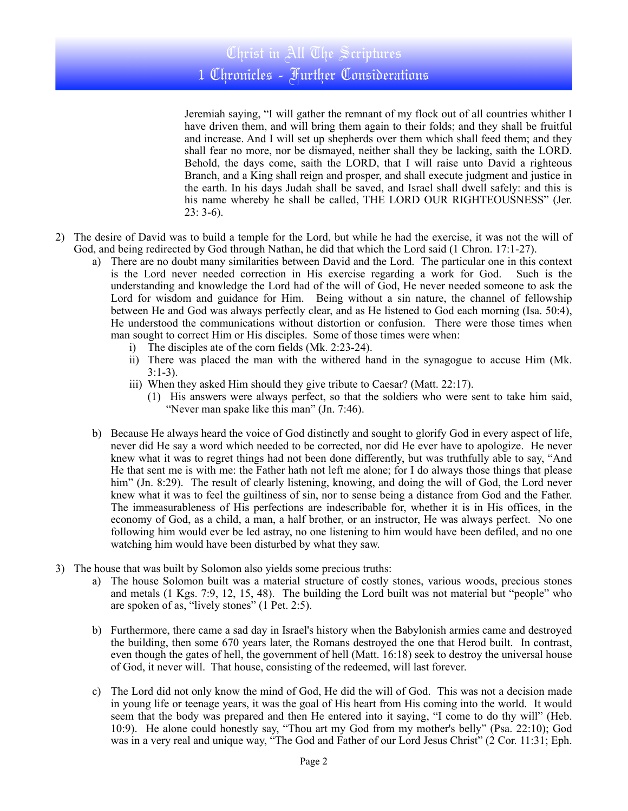Jeremiah saying, "I will gather the remnant of my flock out of all countries whither I have driven them, and will bring them again to their folds; and they shall be fruitful and increase. And I will set up shepherds over them which shall feed them; and they shall fear no more, nor be dismayed, neither shall they be lacking, saith the LORD. Behold, the days come, saith the LORD, that I will raise unto David a righteous Branch, and a King shall reign and prosper, and shall execute judgment and justice in the earth. In his days Judah shall be saved, and Israel shall dwell safely: and this is his name whereby he shall be called, THE LORD OUR RIGHTEOUSNESS" (Jer.  $23: 3-6$ ).

- 2) The desire of David was to build a temple for the Lord, but while he had the exercise, it was not the will of God, and being redirected by God through Nathan, he did that which the Lord said (1 Chron. 17:1-27).
	- a) There are no doubt many similarities between David and the Lord. The particular one in this context is the Lord never needed correction in His exercise regarding a work for God. Such is the understanding and knowledge the Lord had of the will of God, He never needed someone to ask the Lord for wisdom and guidance for Him. Being without a sin nature, the channel of fellowship between He and God was always perfectly clear, and as He listened to God each morning (Isa. 50:4), He understood the communications without distortion or confusion. There were those times when man sought to correct Him or His disciples. Some of those times were when:
		- i) The disciples ate of the corn fields (Mk. 2:23-24).
		- ii) There was placed the man with the withered hand in the synagogue to accuse Him (Mk. 3:1-3).
		- iii) When they asked Him should they give tribute to Caesar? (Matt. 22:17).
			- (1) His answers were always perfect, so that the soldiers who were sent to take him said, "Never man spake like this man" (Jn. 7:46).
	- b) Because He always heard the voice of God distinctly and sought to glorify God in every aspect of life, never did He say a word which needed to be corrected, nor did He ever have to apologize. He never knew what it was to regret things had not been done differently, but was truthfully able to say, "And He that sent me is with me: the Father hath not left me alone; for I do always those things that please him" (Jn. 8:29). The result of clearly listening, knowing, and doing the will of God, the Lord never knew what it was to feel the guiltiness of sin, nor to sense being a distance from God and the Father. The immeasurableness of His perfections are indescribable for, whether it is in His offices, in the economy of God, as a child, a man, a half brother, or an instructor, He was always perfect. No one following him would ever be led astray, no one listening to him would have been defiled, and no one watching him would have been disturbed by what they saw.
- 3) The house that was built by Solomon also yields some precious truths:
	- a) The house Solomon built was a material structure of costly stones, various woods, precious stones and metals (1 Kgs. 7:9, 12, 15, 48). The building the Lord built was not material but "people" who are spoken of as, "lively stones" (1 Pet. 2:5).
	- b) Furthermore, there came a sad day in Israel's history when the Babylonish armies came and destroyed the building, then some 670 years later, the Romans destroyed the one that Herod built. In contrast, even though the gates of hell, the government of hell (Matt. 16:18) seek to destroy the universal house of God, it never will. That house, consisting of the redeemed, will last forever.
	- c) The Lord did not only know the mind of God, He did the will of God. This was not a decision made in young life or teenage years, it was the goal of His heart from His coming into the world. It would seem that the body was prepared and then He entered into it saying, "I come to do thy will" (Heb. 10:9). He alone could honestly say, "Thou art my God from my mother's belly" (Psa. 22:10); God was in a very real and unique way, "The God and Father of our Lord Jesus Christ" (2 Cor. 11:31; Eph.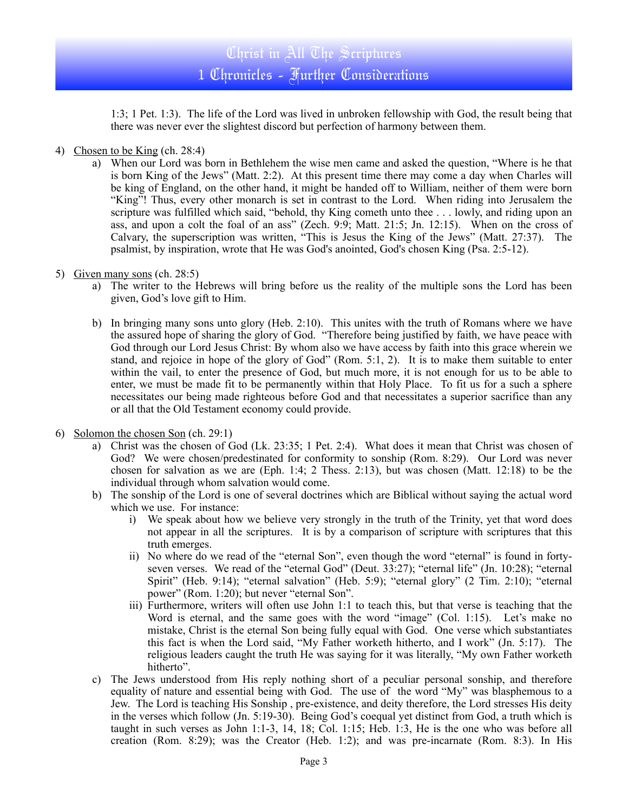1:3; 1 Pet. 1:3). The life of the Lord was lived in unbroken fellowship with God, the result being that there was never ever the slightest discord but perfection of harmony between them.

- 4) Chosen to be King (ch. 28:4)
	- a) When our Lord was born in Bethlehem the wise men came and asked the question, "Where is he that is born King of the Jews" (Matt. 2:2). At this present time there may come a day when Charles will be king of England, on the other hand, it might be handed off to William, neither of them were born "King"! Thus, every other monarch is set in contrast to the Lord. When riding into Jerusalem the scripture was fulfilled which said, "behold, thy King cometh unto thee . . . lowly, and riding upon an ass, and upon a colt the foal of an ass" (Zech. 9:9; Matt. 21:5; Jn. 12:15). When on the cross of Calvary, the superscription was written, "This is Jesus the King of the Jews" (Matt. 27:37). The psalmist, by inspiration, wrote that He was God's anointed, God's chosen King (Psa. 2:5-12).
- 5) Given many sons (ch. 28:5)
	- a) The writer to the Hebrews will bring before us the reality of the multiple sons the Lord has been given, God's love gift to Him.
	- b) In bringing many sons unto glory (Heb. 2:10). This unites with the truth of Romans where we have the assured hope of sharing the glory of God. "Therefore being justified by faith, we have peace with God through our Lord Jesus Christ: By whom also we have access by faith into this grace wherein we stand, and rejoice in hope of the glory of God" (Rom. 5:1, 2). It is to make them suitable to enter within the vail, to enter the presence of God, but much more, it is not enough for us to be able to enter, we must be made fit to be permanently within that Holy Place. To fit us for a such a sphere necessitates our being made righteous before God and that necessitates a superior sacrifice than any or all that the Old Testament economy could provide.
- 6) Solomon the chosen Son (ch. 29:1)
	- a) Christ was the chosen of God (Lk. 23:35; 1 Pet. 2:4). What does it mean that Christ was chosen of God? We were chosen/predestinated for conformity to sonship (Rom. 8:29). Our Lord was never chosen for salvation as we are (Eph. 1:4; 2 Thess. 2:13), but was chosen (Matt. 12:18) to be the individual through whom salvation would come.
	- b) The sonship of the Lord is one of several doctrines which are Biblical without saying the actual word which we use. For instance:
		- i) We speak about how we believe very strongly in the truth of the Trinity, yet that word does not appear in all the scriptures. It is by a comparison of scripture with scriptures that this truth emerges.
		- ii) No where do we read of the "eternal Son", even though the word "eternal" is found in fortyseven verses. We read of the "eternal God" (Deut. 33:27); "eternal life" (Jn. 10:28); "eternal Spirit" (Heb. 9:14); "eternal salvation" (Heb. 5:9); "eternal glory" (2 Tim. 2:10); "eternal power" (Rom. 1:20); but never "eternal Son".
		- iii) Furthermore, writers will often use John 1:1 to teach this, but that verse is teaching that the Word is eternal, and the same goes with the word "image" (Col. 1:15). Let's make no mistake, Christ is the eternal Son being fully equal with God. One verse which substantiates this fact is when the Lord said, "My Father worketh hitherto, and I work" (Jn. 5:17). The religious leaders caught the truth He was saying for it was literally, "My own Father worketh hitherto".
	- c) The Jews understood from His reply nothing short of a peculiar personal sonship, and therefore equality of nature and essential being with God. The use of the word "My" was blasphemous to a Jew. The Lord is teaching His Sonship , pre-existence, and deity therefore, the Lord stresses His deity in the verses which follow (Jn. 5:19-30). Being God's coequal yet distinct from God, a truth which is taught in such verses as John 1:1-3, 14, 18; Col. 1:15; Heb. 1:3, He is the one who was before all creation (Rom. 8:29); was the Creator (Heb. 1:2); and was pre-incarnate (Rom. 8:3). In His